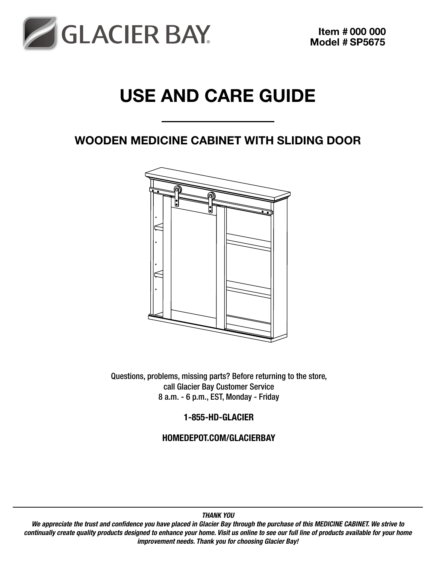

# Use and Care Guide

## Wooden Medicine Cabinet with Sliding Door



Questions, problems, missing parts? Before returning to the store, call Glacier Bay Customer Service 8 a.m. - 6 p.m., EST, Monday - Friday

1-855-HD-GLACIER

HOMEDEPOT.COM/GLACIERBAY

We appreciate the trust and confidence you have placed in Glacier Bay through the purchase of this MEDICINE CABINET. We strive to continually create quality products designed to enhance your home. Visit us online to see our full line of products available for your home improvement needs. Thank you for choosing Glacier Bay!

### THANK YOU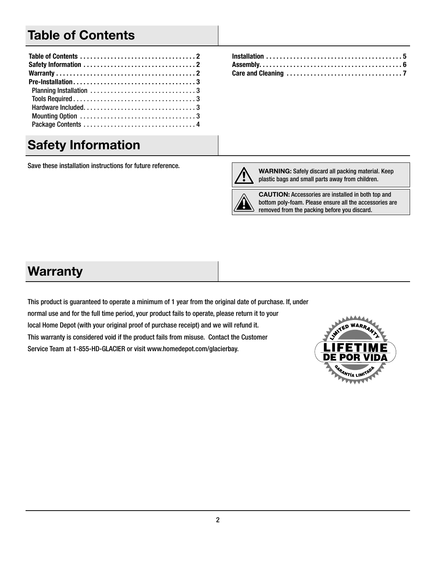## Table of Contents

## Safety Information

Save these installation instructions for future reference.



WARNING: Safely discard all packing material. Keep plastic bags and small parts away from children.

CAUTION: Accessories are installed in both top and bottom poly-foam. Please ensure all the accessories are removed from the packing before you discard.

## **Warranty**

This product is guaranteed to operate a minimum of 1 year from the original date of purchase. If, under normal use and for the full time period, your product fails to operate, please return it to your local Home Depot (with your original proof of purchase receipt) and we will refund it. This warranty is considered void if the product fails from misuse. Contact the Customer Service Team at 1-855-HD-GLACIER or visit www.homedepot.com/glacierbay.

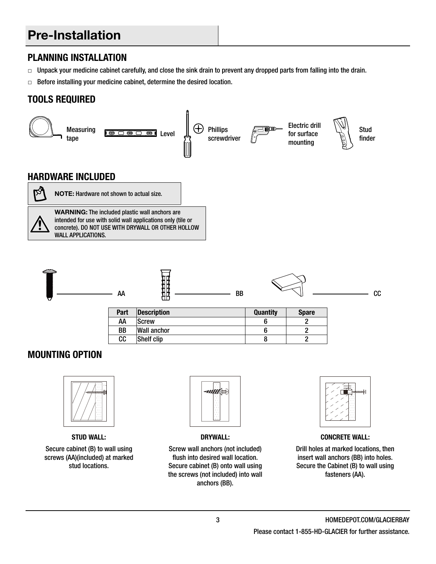## Pre-Installation

### PLANNING INSTALLATION

- $\Box$  Unpack your medicine cabinet carefully, and close the sink drain to prevent any dropped parts from falling into the drain.
- $\Box$  Before installing your medicine cabinet, determine the desired location.

### Tools Required





STUD WALL:

Secure cabinet (B) to wall using screws (AA)(included) at marked stud locations.



DRYWALL:

Screw wall anchors (not included) flush into desired wall location. Secure cabinet (B) onto wall using the screws (not included) into wall anchors (BB).



CONCRETE WALL:

Drill holes at marked locations, then insert wall anchors (BB) into holes. Secure the Cabinet (B) to wall using fasteners (AA).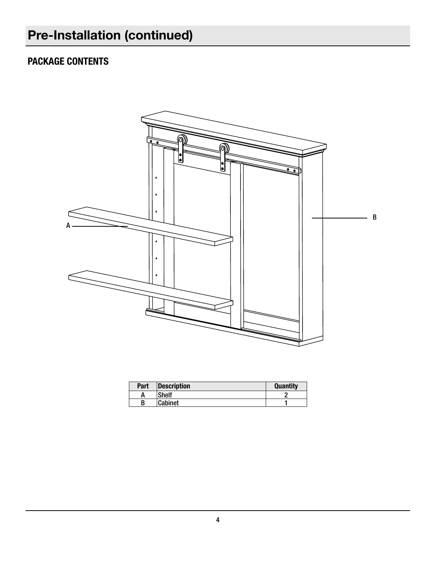## Package Contents



| Part | Description  | <b>Quantity</b> |
|------|--------------|-----------------|
|      | <b>Shelf</b> |                 |
|      | Cabinet      |                 |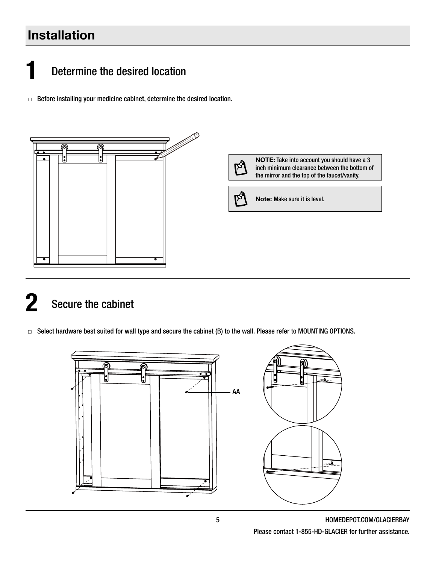## Installation

# Determine the desired location

□ Before installing your medicine cabinet, determine the desired location.



# Secure the cabinet

□ Select hardware best suited for wall type and secure the cabinet (B) to the wall. Please refer to MOUNTING OPTIONS.



5 HOMEDEPOT.COM/GLACIERBAY Please contact 1-855-HD-GLACIER for further assistance.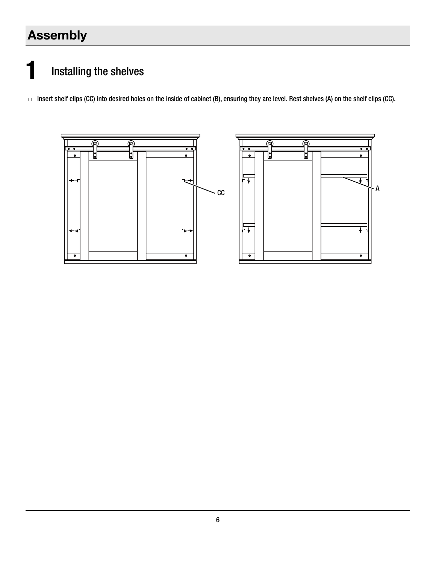## Assembly

# **1** Installing the shelves

□ Insert shelf clips (CC) into desired holes on the inside of cabinet (B), ensuring they are level. Rest shelves (A) on the shelf clips (CC).

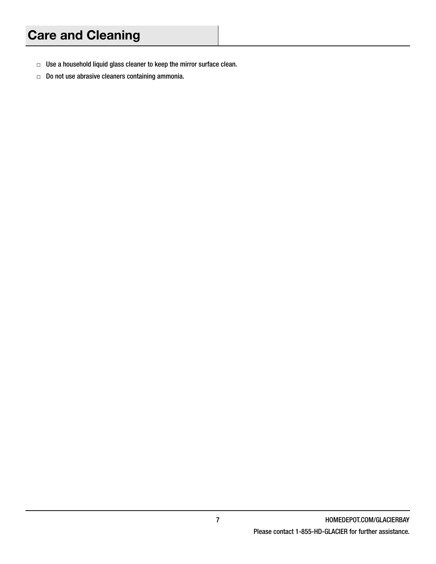- □ Use a household liquid glass cleaner to keep the mirror surface clean.
- □ Do not use abrasive cleaners containing ammonia.